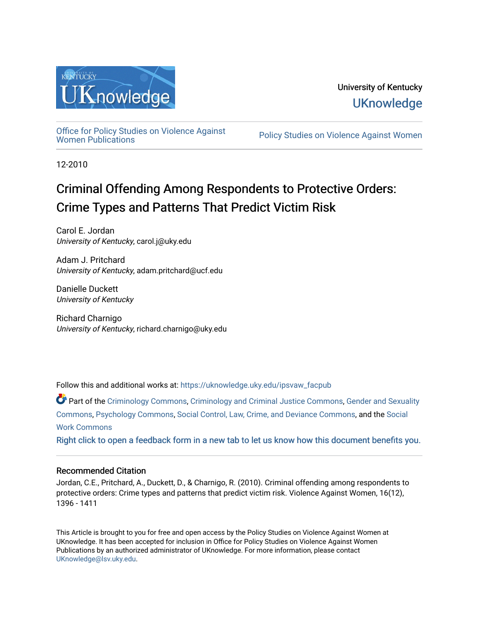

[Office for Policy Studies on Violence Against](https://uknowledge.uky.edu/ipsvaw_facpub)

Policy Studies on Violence Against Women

12-2010

# Criminal Offending Among Respondents to Protective Orders: Crime Types and Patterns That Predict Victim Risk

Carol E. Jordan University of Kentucky, carol.j@uky.edu

Adam J. Pritchard University of Kentucky, adam.pritchard@ucf.edu

Danielle Duckett University of Kentucky

Richard Charnigo University of Kentucky, richard.charnigo@uky.edu

Follow this and additional works at: [https://uknowledge.uky.edu/ipsvaw\\_facpub](https://uknowledge.uky.edu/ipsvaw_facpub?utm_source=uknowledge.uky.edu%2Fipsvaw_facpub%2F1&utm_medium=PDF&utm_campaign=PDFCoverPages) 

Part of the [Criminology Commons](http://network.bepress.com/hgg/discipline/417?utm_source=uknowledge.uky.edu%2Fipsvaw_facpub%2F1&utm_medium=PDF&utm_campaign=PDFCoverPages), [Criminology and Criminal Justice Commons,](http://network.bepress.com/hgg/discipline/367?utm_source=uknowledge.uky.edu%2Fipsvaw_facpub%2F1&utm_medium=PDF&utm_campaign=PDFCoverPages) [Gender and Sexuality](http://network.bepress.com/hgg/discipline/420?utm_source=uknowledge.uky.edu%2Fipsvaw_facpub%2F1&utm_medium=PDF&utm_campaign=PDFCoverPages)  [Commons](http://network.bepress.com/hgg/discipline/420?utm_source=uknowledge.uky.edu%2Fipsvaw_facpub%2F1&utm_medium=PDF&utm_campaign=PDFCoverPages), [Psychology Commons](http://network.bepress.com/hgg/discipline/404?utm_source=uknowledge.uky.edu%2Fipsvaw_facpub%2F1&utm_medium=PDF&utm_campaign=PDFCoverPages), [Social Control, Law, Crime, and Deviance Commons](http://network.bepress.com/hgg/discipline/429?utm_source=uknowledge.uky.edu%2Fipsvaw_facpub%2F1&utm_medium=PDF&utm_campaign=PDFCoverPages), and the [Social](http://network.bepress.com/hgg/discipline/713?utm_source=uknowledge.uky.edu%2Fipsvaw_facpub%2F1&utm_medium=PDF&utm_campaign=PDFCoverPages)  [Work Commons](http://network.bepress.com/hgg/discipline/713?utm_source=uknowledge.uky.edu%2Fipsvaw_facpub%2F1&utm_medium=PDF&utm_campaign=PDFCoverPages)

[Right click to open a feedback form in a new tab to let us know how this document benefits you.](https://uky.az1.qualtrics.com/jfe/form/SV_9mq8fx2GnONRfz7)

## Recommended Citation

Jordan, C.E., Pritchard, A., Duckett, D., & Charnigo, R. (2010). Criminal offending among respondents to protective orders: Crime types and patterns that predict victim risk. Violence Against Women, 16(12), 1396 - 1411

This Article is brought to you for free and open access by the Policy Studies on Violence Against Women at UKnowledge. It has been accepted for inclusion in Office for Policy Studies on Violence Against Women Publications by an authorized administrator of UKnowledge. For more information, please contact [UKnowledge@lsv.uky.edu.](mailto:UKnowledge@lsv.uky.edu)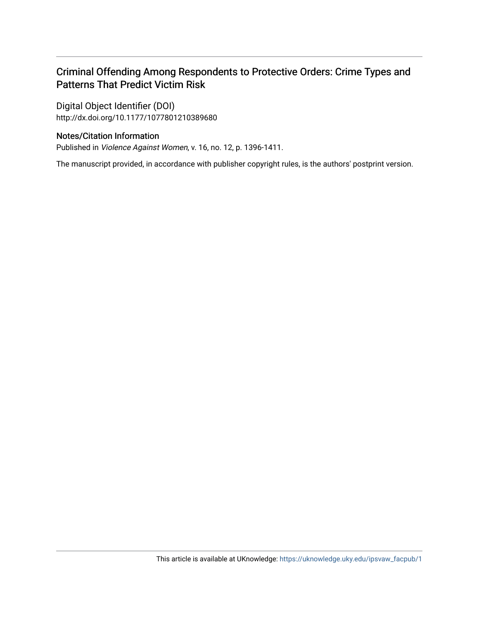## Criminal Offending Among Respondents to Protective Orders: Crime Types and Patterns That Predict Victim Risk

Digital Object Identifier (DOI) http://dx.doi.org/10.1177/1077801210389680

## Notes/Citation Information

Published in Violence Against Women, v. 16, no. 12, p. 1396-1411.

The manuscript provided, in accordance with publisher copyright rules, is the authors' postprint version.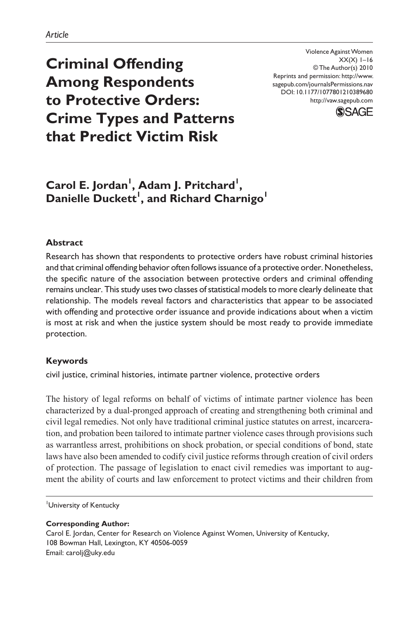Violence Against Women  $XX(X)$  1–16 © The Author(s) 2010 Reprints and permission: http://www. sagepub.com/journalsPermissions.nav DOI: 10.1177/1077801210389680 http://vaw.sagepub.com



## **Criminal Offending Among Respondents to Protective Orders: Crime Types and Patterns that Predict Victim Risk**

## **Carol E. Jordan<sup>I</sup>, Adam J. Pritchard<sup>I</sup>,**  $\mathsf{Danielle\; Duckett}^!$  , and Richard Charnigo<sup>1</sup>

#### **Abstract**

Research has shown that respondents to protective orders have robust criminal histories and that criminal offending behavior often follows issuance of a protective order. Nonetheless, the specific nature of the association between protective orders and criminal offending remains unclear. This study uses two classes of statistical models to more clearly delineate that relationship. The models reveal factors and characteristics that appear to be associated with offending and protective order issuance and provide indications about when a victim is most at risk and when the justice system should be most ready to provide immediate protection.

#### **Keywords**

civil justice, criminal histories, intimate partner violence, protective orders

The history of legal reforms on behalf of victims of intimate partner violence has been characterized by a dual-pronged approach of creating and strengthening both criminal and civil legal remedies. Not only have traditional criminal justice statutes on arrest, incarceration, and probation been tailored to intimate partner violence cases through provisions such as warrantless arrest, prohibitions on shock probation, or special conditions of bond, state laws have also been amended to codify civil justice reforms through creation of civil orders of protection. The passage of legislation to enact civil remedies was important to augment the ability of courts and law enforcement to protect victims and their children from

University of Kentucky

**Corresponding Author:**

Carol E. Jordan, Center for Research on Violence Against Women, University of Kentucky, 108 Bowman Hall, Lexington, KY 40506-0059 Email: carolj@uky.edu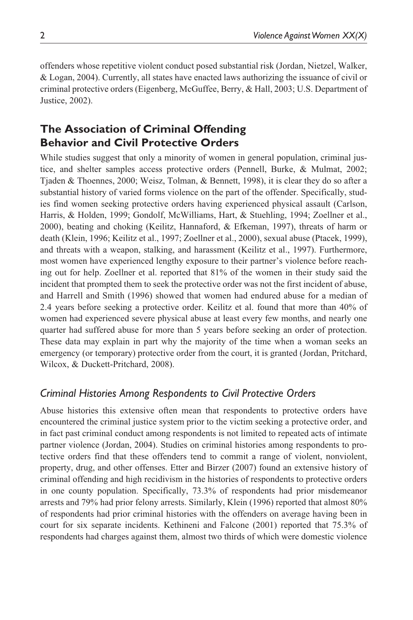offenders whose repetitive violent conduct posed substantial risk (Jordan, Nietzel, Walker, & Logan, 2004). Currently, all states have enacted laws authorizing the issuance of civil or criminal protective orders (Eigenberg, McGuffee, Berry, & Hall, 2003; U.S. Department of Justice, 2002).

## **The Association of Criminal Offending Behavior and Civil Protective Orders**

While studies suggest that only a minority of women in general population, criminal justice, and shelter samples access protective orders (Pennell, Burke, & Mulmat, 2002; Tjaden & Thoennes, 2000; Weisz, Tolman, & Bennett, 1998), it is clear they do so after a substantial history of varied forms violence on the part of the offender. Specifically, studies find women seeking protective orders having experienced physical assault (Carlson, Harris, & Holden, 1999; Gondolf, McWilliams, Hart, & Stuehling, 1994; Zoellner et al., 2000), beating and choking (Keilitz, Hannaford, & Efkeman, 1997), threats of harm or death (Klein, 1996; Keilitz et al., 1997; Zoellner et al., 2000), sexual abuse (Ptacek, 1999), and threats with a weapon, stalking, and harassment (Keilitz et al., 1997). Furthermore, most women have experienced lengthy exposure to their partner's violence before reaching out for help. Zoellner et al. reported that 81% of the women in their study said the incident that prompted them to seek the protective order was not the first incident of abuse, and Harrell and Smith (1996) showed that women had endured abuse for a median of 2.4 years before seeking a protective order. Keilitz et al. found that more than 40% of women had experienced severe physical abuse at least every few months, and nearly one quarter had suffered abuse for more than 5 years before seeking an order of protection. These data may explain in part why the majority of the time when a woman seeks an emergency (or temporary) protective order from the court, it is granted (Jordan, Pritchard, Wilcox, & Duckett-Pritchard, 2008).

### *Criminal Histories Among Respondents to Civil Protective Orders*

Abuse histories this extensive often mean that respondents to protective orders have encountered the criminal justice system prior to the victim seeking a protective order, and in fact past criminal conduct among respondents is not limited to repeated acts of intimate partner violence (Jordan, 2004). Studies on criminal histories among respondents to protective orders find that these offenders tend to commit a range of violent, nonviolent, property, drug, and other offenses. Etter and Birzer (2007) found an extensive history of criminal offending and high recidivism in the histories of respondents to protective orders in one county population. Specifically, 73.3% of respondents had prior misdemeanor arrests and 79% had prior felony arrests. Similarly, Klein (1996) reported that almost 80% of respondents had prior criminal histories with the offenders on average having been in court for six separate incidents. Kethineni and Falcone (2001) reported that 75.3% of respondents had charges against them, almost two thirds of which were domestic violence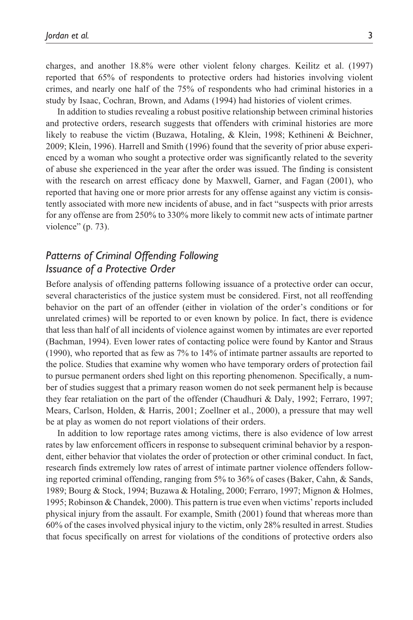charges, and another 18.8% were other violent felony charges. Keilitz et al. (1997) reported that 65% of respondents to protective orders had histories involving violent crimes, and nearly one half of the 75% of respondents who had criminal histories in a study by Isaac, Cochran, Brown, and Adams (1994) had histories of violent crimes.

In addition to studies revealing a robust positive relationship between criminal histories and protective orders, research suggests that offenders with criminal histories are more likely to reabuse the victim (Buzawa, Hotaling, & Klein, 1998; Kethineni & Beichner, 2009; Klein, 1996). Harrell and Smith (1996) found that the severity of prior abuse experienced by a woman who sought a protective order was significantly related to the severity of abuse she experienced in the year after the order was issued. The finding is consistent with the research on arrest efficacy done by Maxwell, Garner, and Fagan (2001), who reported that having one or more prior arrests for any offense against any victim is consistently associated with more new incidents of abuse, and in fact "suspects with prior arrests for any offense are from 250% to 330% more likely to commit new acts of intimate partner violence" (p. 73).

### *Patterns of Criminal Offending Following Issuance of a Protective Order*

Before analysis of offending patterns following issuance of a protective order can occur, several characteristics of the justice system must be considered. First, not all reoffending behavior on the part of an offender (either in violation of the order's conditions or for unrelated crimes) will be reported to or even known by police. In fact, there is evidence that less than half of all incidents of violence against women by intimates are ever reported (Bachman, 1994). Even lower rates of contacting police were found by Kantor and Straus (1990), who reported that as few as 7% to 14% of intimate partner assaults are reported to the police. Studies that examine why women who have temporary orders of protection fail to pursue permanent orders shed light on this reporting phenomenon. Specifically, a number of studies suggest that a primary reason women do not seek permanent help is because they fear retaliation on the part of the offender (Chaudhuri & Daly, 1992; Ferraro, 1997; Mears, Carlson, Holden, & Harris, 2001; Zoellner et al., 2000), a pressure that may well be at play as women do not report violations of their orders.

In addition to low reportage rates among victims, there is also evidence of low arrest rates by law enforcement officers in response to subsequent criminal behavior by a respondent, either behavior that violates the order of protection or other criminal conduct. In fact, research finds extremely low rates of arrest of intimate partner violence offenders following reported criminal offending, ranging from 5% to 36% of cases (Baker, Cahn, & Sands, 1989; Bourg & Stock, 1994; Buzawa & Hotaling, 2000; Ferraro, 1997; Mignon & Holmes, 1995; Robinson & Chandek, 2000). This pattern is true even when victims' reports included physical injury from the assault. For example, Smith (2001) found that whereas more than 60% of the cases involved physical injury to the victim, only 28% resulted in arrest. Studies that focus specifically on arrest for violations of the conditions of protective orders also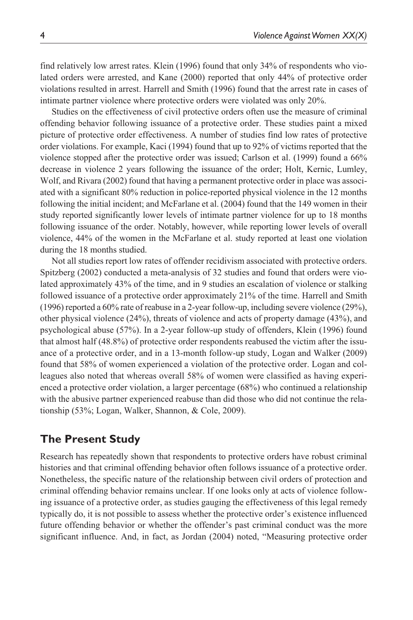find relatively low arrest rates. Klein (1996) found that only 34% of respondents who violated orders were arrested, and Kane (2000) reported that only 44% of protective order violations resulted in arrest. Harrell and Smith (1996) found that the arrest rate in cases of intimate partner violence where protective orders were violated was only 20%.

Studies on the effectiveness of civil protective orders often use the measure of criminal offending behavior following issuance of a protective order. These studies paint a mixed picture of protective order effectiveness. A number of studies find low rates of protective order violations. For example, Kaci (1994) found that up to 92% of victims reported that the violence stopped after the protective order was issued; Carlson et al. (1999) found a 66% decrease in violence 2 years following the issuance of the order; Holt, Kernic, Lumley, Wolf, and Rivara (2002) found that having a permanent protective order in place was associated with a significant 80% reduction in police-reported physical violence in the 12 months following the initial incident; and McFarlane et al. (2004) found that the 149 women in their study reported significantly lower levels of intimate partner violence for up to 18 months following issuance of the order. Notably, however, while reporting lower levels of overall violence, 44% of the women in the McFarlane et al. study reported at least one violation during the 18 months studied.

Not all studies report low rates of offender recidivism associated with protective orders. Spitzberg (2002) conducted a meta-analysis of 32 studies and found that orders were violated approximately 43% of the time, and in 9 studies an escalation of violence or stalking followed issuance of a protective order approximately 21% of the time. Harrell and Smith (1996) reported a 60% rate of reabuse in a 2-year follow-up, including severe violence (29%), other physical violence (24%), threats of violence and acts of property damage (43%), and psychological abuse (57%). In a 2-year follow-up study of offenders, Klein (1996) found that almost half (48.8%) of protective order respondents reabused the victim after the issuance of a protective order, and in a 13-month follow-up study, Logan and Walker (2009) found that 58% of women experienced a violation of the protective order. Logan and colleagues also noted that whereas overall 58% of women were classified as having experienced a protective order violation, a larger percentage (68%) who continued a relationship with the abusive partner experienced reabuse than did those who did not continue the relationship (53%; Logan, Walker, Shannon, & Cole, 2009).

## **The Present Study**

Research has repeatedly shown that respondents to protective orders have robust criminal histories and that criminal offending behavior often follows issuance of a protective order. Nonetheless, the specific nature of the relationship between civil orders of protection and criminal offending behavior remains unclear. If one looks only at acts of violence following issuance of a protective order, as studies gauging the effectiveness of this legal remedy typically do, it is not possible to assess whether the protective order's existence influenced future offending behavior or whether the offender's past criminal conduct was the more significant influence. And, in fact, as Jordan (2004) noted, "Measuring protective order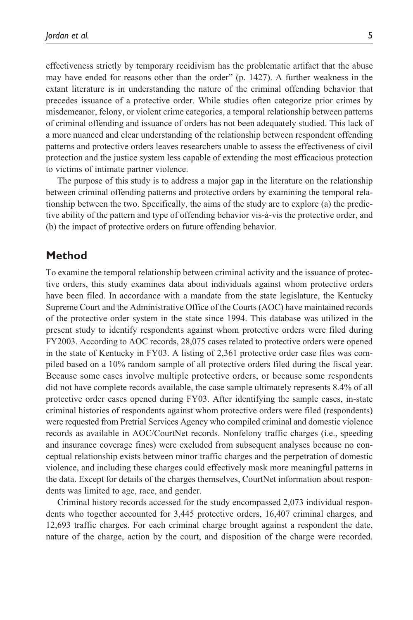effectiveness strictly by temporary recidivism has the problematic artifact that the abuse may have ended for reasons other than the order" (p. 1427). A further weakness in the extant literature is in understanding the nature of the criminal offending behavior that precedes issuance of a protective order. While studies often categorize prior crimes by misdemeanor, felony, or violent crime categories, a temporal relationship between patterns of criminal offending and issuance of orders has not been adequately studied. This lack of a more nuanced and clear understanding of the relationship between respondent offending patterns and protective orders leaves researchers unable to assess the effectiveness of civil protection and the justice system less capable of extending the most efficacious protection to victims of intimate partner violence.

The purpose of this study is to address a major gap in the literature on the relationship between criminal offending patterns and protective orders by examining the temporal relationship between the two. Specifically, the aims of the study are to explore (a) the predictive ability of the pattern and type of offending behavior vis-à-vis the protective order, and (b) the impact of protective orders on future offending behavior.

#### **Method**

To examine the temporal relationship between criminal activity and the issuance of protective orders, this study examines data about individuals against whom protective orders have been filed. In accordance with a mandate from the state legislature, the Kentucky Supreme Court and the Administrative Office of the Courts (AOC) have maintained records of the protective order system in the state since 1994. This database was utilized in the present study to identify respondents against whom protective orders were filed during FY2003. According to AOC records, 28,075 cases related to protective orders were opened in the state of Kentucky in FY03. A listing of 2,361 protective order case files was compiled based on a 10% random sample of all protective orders filed during the fiscal year. Because some cases involve multiple protective orders, or because some respondents did not have complete records available, the case sample ultimately represents 8.4% of all protective order cases opened during FY03. After identifying the sample cases, in-state criminal histories of respondents against whom protective orders were filed (respondents) were requested from Pretrial Services Agency who compiled criminal and domestic violence records as available in AOC/CourtNet records. Nonfelony traffic charges (i.e., speeding and insurance coverage fines) were excluded from subsequent analyses because no conceptual relationship exists between minor traffic charges and the perpetration of domestic violence, and including these charges could effectively mask more meaningful patterns in the data. Except for details of the charges themselves, CourtNet information about respondents was limited to age, race, and gender.

Criminal history records accessed for the study encompassed 2,073 individual respondents who together accounted for 3,445 protective orders, 16,407 criminal charges, and 12,693 traffic charges. For each criminal charge brought against a respondent the date, nature of the charge, action by the court, and disposition of the charge were recorded.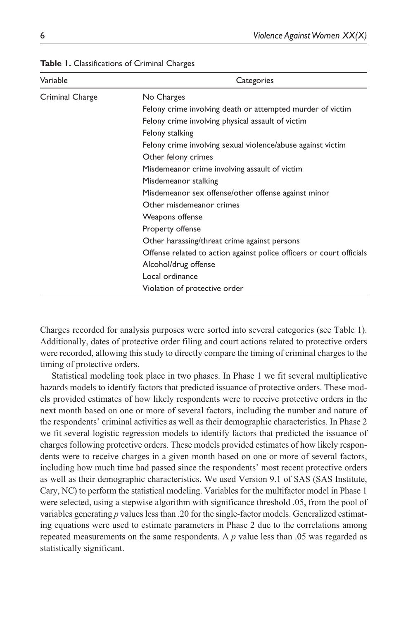| Variable        | Categories                                                           |
|-----------------|----------------------------------------------------------------------|
| Criminal Charge | No Charges                                                           |
|                 | Felony crime involving death or attempted murder of victim           |
|                 | Felony crime involving physical assault of victim                    |
|                 | Felony stalking                                                      |
|                 | Felony crime involving sexual violence/abuse against victim          |
|                 | Other felony crimes                                                  |
|                 | Misdemeanor crime involving assault of victim                        |
|                 | Misdemeanor stalking                                                 |
|                 | Misdemeanor sex offense/other offense against minor                  |
|                 | Other misdemeanor crimes                                             |
|                 | Weapons offense                                                      |
|                 | Property offense                                                     |
|                 | Other harassing/threat crime against persons                         |
|                 | Offense related to action against police officers or court officials |
|                 | Alcohol/drug offense                                                 |
|                 | Local ordinance                                                      |
|                 | Violation of protective order                                        |

#### **Table 1.** Classifications of Criminal Charges

Charges recorded for analysis purposes were sorted into several categories (see Table 1). Additionally, dates of protective order filing and court actions related to protective orders were recorded, allowing this study to directly compare the timing of criminal charges to the timing of protective orders.

Statistical modeling took place in two phases. In Phase 1 we fit several multiplicative hazards models to identify factors that predicted issuance of protective orders. These models provided estimates of how likely respondents were to receive protective orders in the next month based on one or more of several factors, including the number and nature of the respondents' criminal activities as well as their demographic characteristics. In Phase 2 we fit several logistic regression models to identify factors that predicted the issuance of charges following protective orders. These models provided estimates of how likely respondents were to receive charges in a given month based on one or more of several factors, including how much time had passed since the respondents' most recent protective orders as well as their demographic characteristics. We used Version 9.1 of SAS (SAS Institute, Cary, NC) to perform the statistical modeling. Variables for the multifactor model in Phase 1 were selected, using a stepwise algorithm with significance threshold .05, from the pool of variables generating *p* values less than .20 for the single-factor models. Generalized estimating equations were used to estimate parameters in Phase 2 due to the correlations among repeated measurements on the same respondents. A *p* value less than .05 was regarded as statistically significant.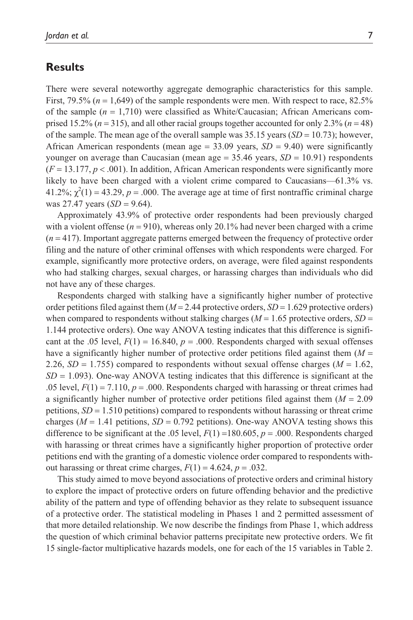#### **Results**

There were several noteworthy aggregate demographic characteristics for this sample. First,  $79.5\%$  ( $n = 1,649$ ) of the sample respondents were men. With respect to race,  $82.5\%$ of the sample (*n* = 1,710) were classified as White/Caucasian; African Americans comprised 15.2% ( $n = 315$ ), and all other racial groups together accounted for only 2.3% ( $n = 48$ ) of the sample. The mean age of the overall sample was  $35.15$  years  $(SD = 10.73)$ ; however, African American respondents (mean age  $= 33.09$  years,  $SD = 9.40$ ) were significantly younger on average than Caucasian (mean age  $=$  35.46 years, *SD*  $=$  10.91) respondents  $(F = 13.177, p < .001)$ . In addition, African American respondents were significantly more likely to have been charged with a violent crime compared to Caucasians—61.3% vs.  $41.2\%$ ;  $\chi^2(1) = 43.29$ ,  $p = .000$ . The average age at time of first nontraffic criminal charge was 27.47 years (*SD* = 9.64).

Approximately 43.9% of protective order respondents had been previously charged with a violent offense  $(n = 910)$ , whereas only 20.1% had never been charged with a crime (*n* = 417). Important aggregate patterns emerged between the frequency of protective order filing and the nature of other criminal offenses with which respondents were charged. For example, significantly more protective orders, on average, were filed against respondents who had stalking charges, sexual charges, or harassing charges than individuals who did not have any of these charges.

Respondents charged with stalking have a significantly higher number of protective order petitions filed against them  $(M = 2.44$  protective orders,  $SD = 1.629$  protective orders) when compared to respondents without stalking charges ( $M = 1.65$  protective orders,  $SD =$ 1.144 protective orders). One way ANOVA testing indicates that this difference is significant at the .05 level,  $F(1) = 16.840$ ,  $p = .000$ . Respondents charged with sexual offenses have a significantly higher number of protective order petitions filed against them (*M* = 2.26,  $SD = 1.755$ ) compared to respondents without sexual offense charges ( $M = 1.62$ ,  $SD = 1.093$ ). One-way ANOVA testing indicates that this difference is significant at the .05 level,  $F(1) = 7.110$ ,  $p = .000$ . Respondents charged with harassing or threat crimes had a significantly higher number of protective order petitions filed against them (*M* = 2.09 petitions, *SD* = 1.510 petitions) compared to respondents without harassing or threat crime charges ( $M = 1.41$  petitions,  $SD = 0.792$  petitions). One-way ANOVA testing shows this difference to be significant at the .05 level,  $F(1) = 180.605$ ,  $p = .000$ . Respondents charged with harassing or threat crimes have a significantly higher proportion of protective order petitions end with the granting of a domestic violence order compared to respondents without harassing or threat crime charges,  $F(1) = 4.624$ ,  $p = .032$ .

This study aimed to move beyond associations of protective orders and criminal history to explore the impact of protective orders on future offending behavior and the predictive ability of the pattern and type of offending behavior as they relate to subsequent issuance of a protective order. The statistical modeling in Phases 1 and 2 permitted assessment of that more detailed relationship. We now describe the findings from Phase 1, which address the question of which criminal behavior patterns precipitate new protective orders. We fit 15 single-factor multiplicative hazards models, one for each of the 15 variables in Table 2.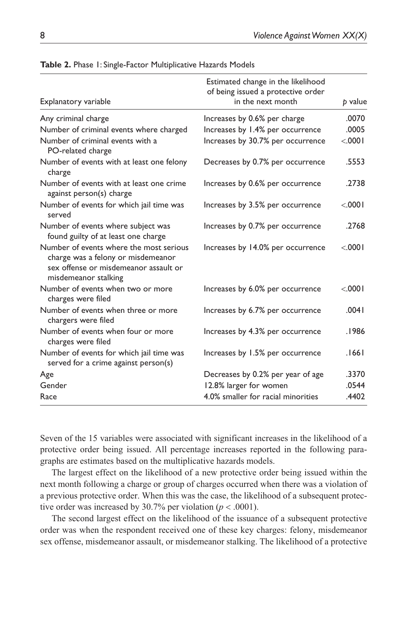| Explanatory variable                                                                                                                           | Estimated change in the likelihood<br>of being issued a protective order<br>in the next month | p value |
|------------------------------------------------------------------------------------------------------------------------------------------------|-----------------------------------------------------------------------------------------------|---------|
| Any criminal charge                                                                                                                            | Increases by 0.6% per charge                                                                  | .0070   |
| Number of criminal events where charged                                                                                                        | Increases by 1.4% per occurrence                                                              | .0005   |
| Number of criminal events with a<br>PO-related charge                                                                                          | Increases by 30.7% per occurrence                                                             | < 0001  |
| Number of events with at least one felony<br>charge                                                                                            | Decreases by 0.7% per occurrence                                                              | .5553   |
| Number of events with at least one crime<br>against person(s) charge                                                                           | Increases by 0.6% per occurrence                                                              | .2738   |
| Number of events for which jail time was<br>served                                                                                             | Increases by 3.5% per occurrence                                                              | < 0001  |
| Number of events where subject was<br>found guilty of at least one charge                                                                      | Increases by 0.7% per occurrence                                                              | .2768   |
| Number of events where the most serious<br>charge was a felony or misdemeanor<br>sex offense or misdemeanor assault or<br>misdemeanor stalking | Increases by 14.0% per occurrence                                                             | < 0001  |
| Number of events when two or more<br>charges were filed                                                                                        | Increases by 6.0% per occurrence                                                              | < 0001  |
| Number of events when three or more<br>chargers were filed                                                                                     | Increases by 6.7% per occurrence                                                              | .0041   |
| Number of events when four or more<br>charges were filed                                                                                       | Increases by 4.3% per occurrence                                                              | .1986   |
| Number of events for which jail time was<br>served for a crime against person(s)                                                               | Increases by 1.5% per occurrence                                                              | .1661   |
| Age                                                                                                                                            | Decreases by 0.2% per year of age                                                             | .3370   |
| Gender                                                                                                                                         | 12.8% larger for women                                                                        | .0544   |
| Race                                                                                                                                           | 4.0% smaller for racial minorities                                                            | .4402   |
|                                                                                                                                                |                                                                                               |         |

**Table 2.** Phase 1: Single-Factor Multiplicative Hazards Models

Seven of the 15 variables were associated with significant increases in the likelihood of a protective order being issued. All percentage increases reported in the following paragraphs are estimates based on the multiplicative hazards models.

The largest effect on the likelihood of a new protective order being issued within the next month following a charge or group of charges occurred when there was a violation of a previous protective order. When this was the case, the likelihood of a subsequent protective order was increased by 30.7% per violation ( $p < .0001$ ).

The second largest effect on the likelihood of the issuance of a subsequent protective order was when the respondent received one of these key charges: felony, misdemeanor sex offense, misdemeanor assault, or misdemeanor stalking. The likelihood of a protective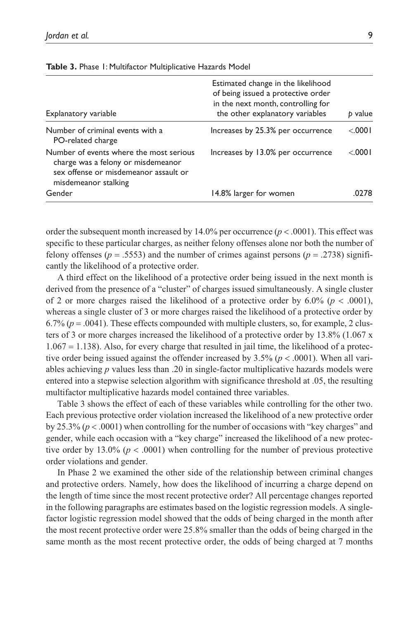| Explanatory variable                                                                                                                           | Estimated change in the likelihood<br>of being issued a protective order<br>in the next month, controlling for<br>the other explanatory variables | value<br>b |
|------------------------------------------------------------------------------------------------------------------------------------------------|---------------------------------------------------------------------------------------------------------------------------------------------------|------------|
| Number of criminal events with a<br>PO-related charge                                                                                          | Increases by 25.3% per occurrence                                                                                                                 | < 0001     |
| Number of events where the most serious<br>charge was a felony or misdemeanor<br>sex offense or misdemeanor assault or<br>misdemeanor stalking | Increases by 13.0% per occurrence                                                                                                                 | < 0001     |
| Gender                                                                                                                                         | 14.8% larger for women                                                                                                                            | 0278       |

**Table 3.** Phase 1: Multifactor Multiplicative Hazards Model

order the subsequent month increased by  $14.0\%$  per occurrence ( $p < .0001$ ). This effect was specific to these particular charges, as neither felony offenses alone nor both the number of felony offenses ( $p = .5553$ ) and the number of crimes against persons ( $p = .2738$ ) significantly the likelihood of a protective order.

A third effect on the likelihood of a protective order being issued in the next month is derived from the presence of a "cluster" of charges issued simultaneously. A single cluster of 2 or more charges raised the likelihood of a protective order by  $6.0\%$  ( $p < .0001$ ), whereas a single cluster of 3 or more charges raised the likelihood of a protective order by  $6.7\%$  ( $p = .0041$ ). These effects compounded with multiple clusters, so, for example, 2 clusters of 3 or more charges increased the likelihood of a protective order by 13.8% (1.067 x  $1.067 = 1.138$ ). Also, for every charge that resulted in jail time, the likelihood of a protective order being issued against the offender increased by  $3.5\%$  ( $p < .0001$ ). When all variables achieving *p* values less than .20 in single-factor multiplicative hazards models were entered into a stepwise selection algorithm with significance threshold at .05, the resulting multifactor multiplicative hazards model contained three variables.

Table 3 shows the effect of each of these variables while controlling for the other two. Each previous protective order violation increased the likelihood of a new protective order by 25.3% (*p* < .0001) when controlling for the number of occasions with "key charges" and gender, while each occasion with a "key charge" increased the likelihood of a new protective order by 13.0% ( $p < .0001$ ) when controlling for the number of previous protective order violations and gender.

In Phase 2 we examined the other side of the relationship between criminal changes and protective orders. Namely, how does the likelihood of incurring a charge depend on the length of time since the most recent protective order? All percentage changes reported in the following paragraphs are estimates based on the logistic regression models. A singlefactor logistic regression model showed that the odds of being charged in the month after the most recent protective order were 25.8% smaller than the odds of being charged in the same month as the most recent protective order, the odds of being charged at 7 months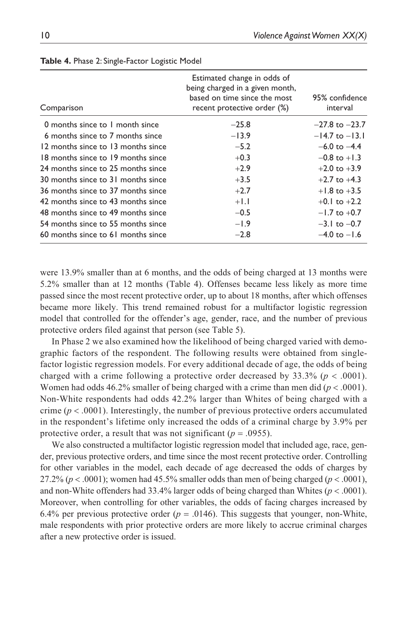| Comparison                         | Estimated change in odds of<br>being charged in a given month,<br>based on time since the most<br>recent protective order (%) | 95% confidence<br>interval |
|------------------------------------|-------------------------------------------------------------------------------------------------------------------------------|----------------------------|
| 0 months since to 1 month since    | $-25.8$                                                                                                                       | $-27.8$ to $-23.7$         |
| 6 months since to 7 months since   | $-13.9$                                                                                                                       | $-14.7$ to $-13.1$         |
| 12 months since to 13 months since | $-5.2$                                                                                                                        | $-6.0$ to $-4.4$           |
| 18 months since to 19 months since | $+0.3$                                                                                                                        | $-0.8$ to $+1.3$           |
| 24 months since to 25 months since | $+2.9$                                                                                                                        | $+2.0$ to $+3.9$           |
| 30 months since to 31 months since | $+3.5$                                                                                                                        | $+2.7$ to $+4.3$           |
| 36 months since to 37 months since | $+2.7$                                                                                                                        | $+1.8$ to $+3.5$           |
| 42 months since to 43 months since | $+1.1$                                                                                                                        | $+0.1$ to $+2.2$           |
| 48 months since to 49 months since | $-0.5$                                                                                                                        | $-1.7$ to $+0.7$           |
| 54 months since to 55 months since | $-1.9$                                                                                                                        | $-3.1$ to $-0.7$           |
| 60 months since to 61 months since | $-2.8$                                                                                                                        | $-4.0$ to $-1.6$           |

|  | Table 4. Phase 2: Single-Factor Logistic Model |  |  |
|--|------------------------------------------------|--|--|
|--|------------------------------------------------|--|--|

were 13.9% smaller than at 6 months, and the odds of being charged at 13 months were 5.2% smaller than at 12 months (Table 4). Offenses became less likely as more time passed since the most recent protective order, up to about 18 months, after which offenses became more likely. This trend remained robust for a multifactor logistic regression model that controlled for the offender's age, gender, race, and the number of previous protective orders filed against that person (see Table 5).

In Phase 2 we also examined how the likelihood of being charged varied with demographic factors of the respondent. The following results were obtained from singlefactor logistic regression models. For every additional decade of age, the odds of being charged with a crime following a protective order decreased by  $33.3\%$  ( $p < .0001$ ). Women had odds 46.2% smaller of being charged with a crime than men did (*p* < .0001). Non-White respondents had odds 42.2% larger than Whites of being charged with a crime ( $p < .0001$ ). Interestingly, the number of previous protective orders accumulated in the respondent's lifetime only increased the odds of a criminal charge by 3.9% per protective order, a result that was not significant ( $p = .0955$ ).

We also constructed a multifactor logistic regression model that included age, race, gender, previous protective orders, and time since the most recent protective order. Controlling for other variables in the model, each decade of age decreased the odds of charges by 27.2% ( $p < .0001$ ); women had 45.5% smaller odds than men of being charged ( $p < .0001$ ), and non-White offenders had  $33.4\%$  larger odds of being charged than Whites ( $p < .0001$ ). Moreover, when controlling for other variables, the odds of facing charges increased by 6.4% per previous protective order ( $p = .0146$ ). This suggests that younger, non-White, male respondents with prior protective orders are more likely to accrue criminal charges after a new protective order is issued.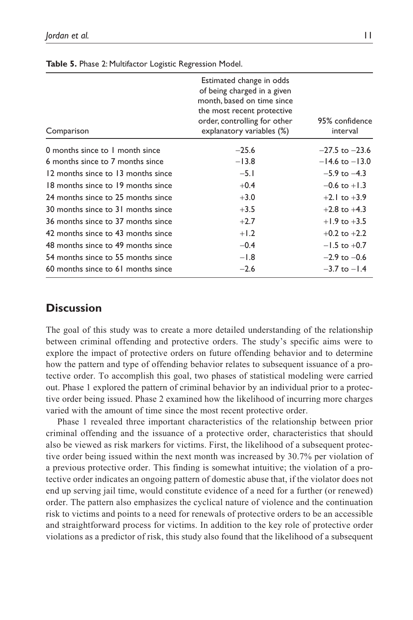| Comparison                         | Estimated change in odds<br>of being charged in a given<br>month, based on time since<br>the most recent protective<br>order, controlling for other<br>explanatory variables (%) | 95% confidence<br>interval |
|------------------------------------|----------------------------------------------------------------------------------------------------------------------------------------------------------------------------------|----------------------------|
| 0 months since to 1 month since    | $-25.6$                                                                                                                                                                          | $-27.5$ to $-23.6$         |
| 6 months since to 7 months since   | $-13.8$                                                                                                                                                                          | $-14.6$ to $-13.0$         |
| 12 months since to 13 months since | $-5.1$                                                                                                                                                                           | $-5.9$ to $-4.3$           |
| 18 months since to 19 months since | $+0.4$                                                                                                                                                                           | $-0.6$ to $+1.3$           |
| 24 months since to 25 months since | $+3.0$                                                                                                                                                                           | $+2.1$ to $+3.9$           |
| 30 months since to 31 months since | $+3.5$                                                                                                                                                                           | $+2.8$ to $+4.3$           |
| 36 months since to 37 months since | $+2.7$                                                                                                                                                                           | $+1.9$ to $+3.5$           |
| 42 months since to 43 months since | $+1.2$                                                                                                                                                                           | $+0.2$ to $+2.2$           |
| 48 months since to 49 months since | $-0.4$                                                                                                                                                                           | $-1.5$ to $+0.7$           |
| 54 months since to 55 months since | $-1.8$                                                                                                                                                                           | $-2.9$ to $-0.6$           |
| 60 months since to 61 months since | $-2.6$                                                                                                                                                                           | $-3.7$ to $-1.4$           |

**Table 5.** Phase 2: Multifactor Logistic Regression Model.

#### **Discussion**

The goal of this study was to create a more detailed understanding of the relationship between criminal offending and protective orders. The study's specific aims were to explore the impact of protective orders on future offending behavior and to determine how the pattern and type of offending behavior relates to subsequent issuance of a protective order. To accomplish this goal, two phases of statistical modeling were carried out. Phase 1 explored the pattern of criminal behavior by an individual prior to a protective order being issued. Phase 2 examined how the likelihood of incurring more charges varied with the amount of time since the most recent protective order.

Phase 1 revealed three important characteristics of the relationship between prior criminal offending and the issuance of a protective order, characteristics that should also be viewed as risk markers for victims. First, the likelihood of a subsequent protective order being issued within the next month was increased by 30.7% per violation of a previous protective order. This finding is somewhat intuitive; the violation of a protective order indicates an ongoing pattern of domestic abuse that, if the violator does not end up serving jail time, would constitute evidence of a need for a further (or renewed) order. The pattern also emphasizes the cyclical nature of violence and the continuation risk to victims and points to a need for renewals of protective orders to be an accessible and straightforward process for victims. In addition to the key role of protective order violations as a predictor of risk, this study also found that the likelihood of a subsequent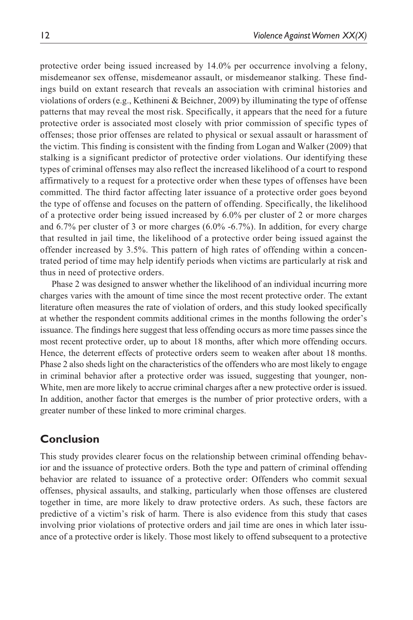protective order being issued increased by 14.0% per occurrence involving a felony, misdemeanor sex offense, misdemeanor assault, or misdemeanor stalking. These findings build on extant research that reveals an association with criminal histories and violations of orders (e.g., Kethineni & Beichner, 2009) by illuminating the type of offense patterns that may reveal the most risk. Specifically, it appears that the need for a future protective order is associated most closely with prior commission of specific types of offenses; those prior offenses are related to physical or sexual assault or harassment of the victim. This finding is consistent with the finding from Logan and Walker (2009) that stalking is a significant predictor of protective order violations. Our identifying these types of criminal offenses may also reflect the increased likelihood of a court to respond affirmatively to a request for a protective order when these types of offenses have been committed. The third factor affecting later issuance of a protective order goes beyond the type of offense and focuses on the pattern of offending. Specifically, the likelihood of a protective order being issued increased by 6.0% per cluster of 2 or more charges and 6.7% per cluster of 3 or more charges (6.0% -6.7%). In addition, for every charge that resulted in jail time, the likelihood of a protective order being issued against the offender increased by 3.5%. This pattern of high rates of offending within a concentrated period of time may help identify periods when victims are particularly at risk and thus in need of protective orders.

Phase 2 was designed to answer whether the likelihood of an individual incurring more charges varies with the amount of time since the most recent protective order. The extant literature often measures the rate of violation of orders, and this study looked specifically at whether the respondent commits additional crimes in the months following the order's issuance. The findings here suggest that less offending occurs as more time passes since the most recent protective order, up to about 18 months, after which more offending occurs. Hence, the deterrent effects of protective orders seem to weaken after about 18 months. Phase 2 also sheds light on the characteristics of the offenders who are most likely to engage in criminal behavior after a protective order was issued, suggesting that younger, non-White, men are more likely to accrue criminal charges after a new protective order is issued. In addition, another factor that emerges is the number of prior protective orders, with a greater number of these linked to more criminal charges.

### **Conclusion**

This study provides clearer focus on the relationship between criminal offending behavior and the issuance of protective orders. Both the type and pattern of criminal offending behavior are related to issuance of a protective order: Offenders who commit sexual offenses, physical assaults, and stalking, particularly when those offenses are clustered together in time, are more likely to draw protective orders. As such, these factors are predictive of a victim's risk of harm. There is also evidence from this study that cases involving prior violations of protective orders and jail time are ones in which later issuance of a protective order is likely. Those most likely to offend subsequent to a protective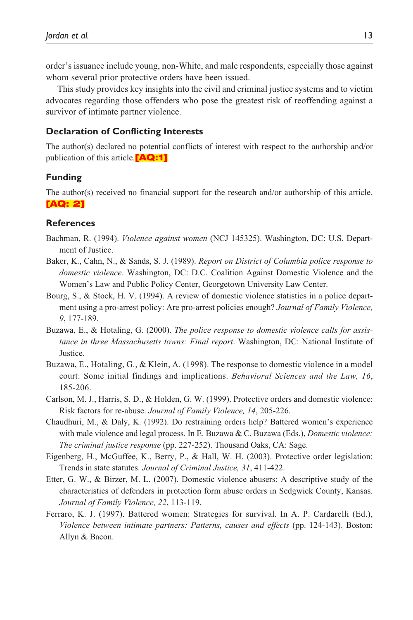order's issuance include young, non-White, and male respondents, especially those against whom several prior protective orders have been issued.

This study provides key insights into the civil and criminal justice systems and to victim advocates regarding those offenders who pose the greatest risk of reoffending against a survivor of intimate partner violence.

#### **Declaration of Conflicting Interests**

The author(s) declared no potential conflicts of interest with respect to the authorship and/or publication of this article.<sup>[AQ:1]</sup>

#### **Funding**

The author(s) received no financial support for the research and/or authorship of this article. [AQ: 2]

#### **References**

- Bachman, R. (1994). *Violence against women* (NCJ 145325). Washington, DC: U.S. Department of Justice.
- Baker, K., Cahn, N., & Sands, S. J. (1989). *Report on District of Columbia police response to domestic violence*. Washington, DC: D.C. Coalition Against Domestic Violence and the Women's Law and Public Policy Center, Georgetown University Law Center.
- Bourg, S., & Stock, H. V. (1994). A review of domestic violence statistics in a police department using a pro-arrest policy: Are pro-arrest policies enough? *Journal of Family Violence, 9*, 177-189.
- Buzawa, E., & Hotaling, G. (2000). *The police response to domestic violence calls for assistance in three Massachusetts towns: Final report*. Washington, DC: National Institute of Justice.
- Buzawa, E., Hotaling, G., & Klein, A. (1998). The response to domestic violence in a model court: Some initial findings and implications. *Behavioral Sciences and the Law, 16*, 185-206.
- Carlson, M. J., Harris, S. D., & Holden, G. W. (1999). Protective orders and domestic violence: Risk factors for re-abuse. *Journal of Family Violence, 14*, 205-226.
- Chaudhuri, M., & Daly, K. (1992). Do restraining orders help? Battered women's experience with male violence and legal process. In E. Buzawa & C. Buzawa (Eds.), *Domestic violence: The criminal justice response* (pp. 227-252). Thousand Oaks, CA: Sage.
- Eigenberg, H., McGuffee, K., Berry, P., & Hall, W. H. (2003). Protective order legislation: Trends in state statutes. *Journal of Criminal Justice, 31*, 411-422.
- Etter, G. W., & Birzer, M. L. (2007). Domestic violence abusers: A descriptive study of the characteristics of defenders in protection form abuse orders in Sedgwick County, Kansas. *Journal of Family Violence, 22*, 113-119.
- Ferraro, K. J. (1997). Battered women: Strategies for survival. In A. P. Cardarelli (Ed.), *Violence between intimate partners: Patterns, causes and effects* (pp. 124-143). Boston: Allyn & Bacon.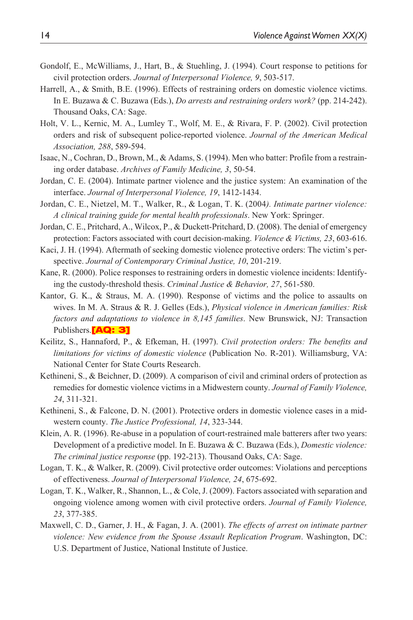- Gondolf, E., McWilliams, J., Hart, B., & Stuehling, J. (1994). Court response to petitions for civil protection orders. *Journal of Interpersonal Violence, 9*, 503-517.
- Harrell, A., & Smith, B.E. (1996). Effects of restraining orders on domestic violence victims. In E. Buzawa & C. Buzawa (Eds.), *Do arrests and restraining orders work?* (pp. 214-242). Thousand Oaks, CA: Sage.
- Holt, V. L., Kernic, M. A., Lumley T., Wolf, M. E., & Rivara, F. P. (2002). Civil protection orders and risk of subsequent police-reported violence. *Journal of the American Medical Association, 288*, 589-594.
- Isaac, N., Cochran, D., Brown, M., & Adams, S. (1994). Men who batter: Profile from a restraining order database. *Archives of Family Medicine, 3*, 50-54.
- Jordan, C. E. (2004). Intimate partner violence and the justice system: An examination of the interface. *Journal of Interpersonal Violence, 19*, 1412-1434.
- Jordan, C. E., Nietzel, M. T., Walker, R., & Logan, T. K. (2004*). Intimate partner violence: A clinical training guide for mental health professionals*. New York: Springer.
- Jordan, C. E., Pritchard, A., Wilcox, P., & Duckett-Pritchard, D. (2008). The denial of emergency protection: Factors associated with court decision-making. *Violence & Victims, 23*, 603-616.
- Kaci, J. H. (1994). Aftermath of seeking domestic violence protective orders: The victim's perspective. *Journal of Contemporary Criminal Justice, 10*, 201-219.
- Kane, R. (2000). Police responses to restraining orders in domestic violence incidents: Identifying the custody-threshold thesis. *Criminal Justice & Behavior, 27*, 561-580.
- Kantor, G. K., & Straus, M. A. (1990). Response of victims and the police to assaults on wives. In M. A. Straus & R. J. Gelles (Eds.), *Physical violence in American families: Risk factors and adaptations to violence in 8,145 families*. New Brunswick, NJ: Transaction Publishers.**[AQ: 3]**
- Keilitz, S., Hannaford, P., & Efkeman, H. (1997). *Civil protection orders: The benefits and limitations for victims of domestic violence* (Publication No. R-201). Williamsburg, VA: National Center for State Courts Research.
- Kethineni, S., & Beichner, D. (2009). A comparison of civil and criminal orders of protection as remedies for domestic violence victims in a Midwestern county. *Journal of Family Violence, 24*, 311-321.
- Kethineni, S., & Falcone, D. N. (2001). Protective orders in domestic violence cases in a midwestern county. *The Justice Professional, 14*, 323-344.
- Klein, A. R. (1996). Re-abuse in a population of court-restrained male batterers after two years: Development of a predictive model. In E. Buzawa & C. Buzawa (Eds.), *Domestic violence: The criminal justice response* (pp. 192-213). Thousand Oaks, CA: Sage.
- Logan, T. K., & Walker, R. (2009). Civil protective order outcomes: Violations and perceptions of effectiveness. *Journal of Interpersonal Violence, 24*, 675-692.
- Logan, T. K., Walker, R., Shannon, L., & Cole, J. (2009). Factors associated with separation and ongoing violence among women with civil protective orders. *Journal of Family Violence, 23*, 377-385.
- Maxwell, C. D., Garner, J. H., & Fagan, J. A. (2001). *The effects of arrest on intimate partner violence: New evidence from the Spouse Assault Replication Program*. Washington, DC: U.S. Department of Justice, National Institute of Justice.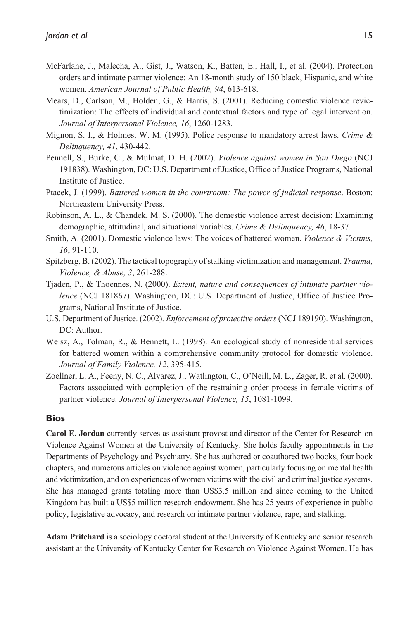- McFarlane, J., Malecha, A., Gist, J., Watson, K., Batten, E., Hall, I., et al. (2004). Protection orders and intimate partner violence: An 18-month study of 150 black, Hispanic, and white women. *American Journal of Public Health, 94*, 613-618.
- Mears, D., Carlson, M., Holden, G., & Harris, S. (2001). Reducing domestic violence revictimization: The effects of individual and contextual factors and type of legal intervention. *Journal of Interpersonal Violence, 16*, 1260-1283.
- Mignon, S. I., & Holmes, W. M. (1995). Police response to mandatory arrest laws. *Crime & Delinquency, 41*, 430-442.
- Pennell, S., Burke, C., & Mulmat, D. H. (2002). *Violence against women in San Diego* (NCJ 191838). Washington, DC: U.S. Department of Justice, Office of Justice Programs, National Institute of Justice.
- Ptacek, J. (1999). *Battered women in the courtroom: The power of judicial response*. Boston: Northeastern University Press.
- Robinson, A. L., & Chandek, M. S. (2000). The domestic violence arrest decision: Examining demographic, attitudinal, and situational variables. *Crime & Delinquency, 46*, 18-37.
- Smith, A. (2001). Domestic violence laws: The voices of battered women. *Violence & Victims, 16*, 91-110.
- Spitzberg, B. (2002). The tactical topography of stalking victimization and management. *Trauma, Violence, & Abuse, 3*, 261-288.
- Tjaden, P., & Thoennes, N. (2000). *Extent, nature and consequences of intimate partner violence* (NCJ 181867). Washington, DC: U.S. Department of Justice, Office of Justice Programs, National Institute of Justice.
- U.S. Department of Justice. (2002). *Enforcement of protective orders* (NCJ 189190). Washington, DC: Author.
- Weisz, A., Tolman, R., & Bennett, L. (1998). An ecological study of nonresidential services for battered women within a comprehensive community protocol for domestic violence. *Journal of Family Violence, 12*, 395-415.
- Zoellner, L. A., Feeny, N. C., Alvarez, J., Watlington, C., O'Neill, M. L., Zager, R. et al. (2000). Factors associated with completion of the restraining order process in female victims of partner violence. *Journal of Interpersonal Violence, 15*, 1081-1099.

#### **Bios**

**Carol E. Jordan** currently serves as assistant provost and director of the Center for Research on Violence Against Women at the University of Kentucky. She holds faculty appointments in the Departments of Psychology and Psychiatry. She has authored or coauthored two books, four book chapters, and numerous articles on violence against women, particularly focusing on mental health and victimization, and on experiences of women victims with the civil and criminal justice systems. She has managed grants totaling more than US\$3.5 million and since coming to the United Kingdom has built a US\$5 million research endowment. She has 25 years of experience in public policy, legislative advocacy, and research on intimate partner violence, rape, and stalking.

**Adam Pritchard** is a sociology doctoral student at the University of Kentucky and senior research assistant at the University of Kentucky Center for Research on Violence Against Women. He has